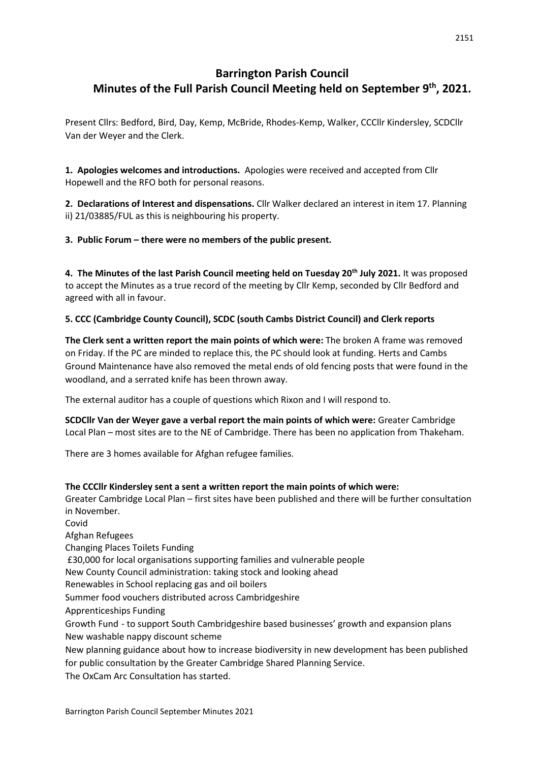# **Barrington Parish Council Minutes of the Full Parish Council Meeting held on September 9th, 2021.**

Present Cllrs: Bedford, Bird, Day, Kemp, McBride, Rhodes-Kemp, Walker, CCCllr Kindersley, SCDCllr Van der Weyer and the Clerk.

**1. Apologies welcomes and introductions.** Apologies were received and accepted from Cllr Hopewell and the RFO both for personal reasons.

**2. Declarations of Interest and dispensations.** Cllr Walker declared an interest in item 17. Planning ii) 21/03885/FUL as this is neighbouring his property.

**3. Public Forum – there were no members of the public present.**

**4. The Minutes of the last Parish Council meeting held on Tuesday 20th July 2021.** It was proposed to accept the Minutes as a true record of the meeting by Cllr Kemp, seconded by Cllr Bedford and agreed with all in favour.

# **5. CCC (Cambridge County Council), SCDC (south Cambs District Council) and Clerk reports**

**The Clerk sent a written report the main points of which were:** The broken A frame was removed on Friday. If the PC are minded to replace this, the PC should look at funding. Herts and Cambs Ground Maintenance have also removed the metal ends of old fencing posts that were found in the woodland, and a serrated knife has been thrown away.

The external auditor has a couple of questions which Rixon and I will respond to.

**SCDCllr Van der Weyer gave a verbal report the main points of which were:** Greater Cambridge Local Plan – most sites are to the NE of Cambridge. There has been no application from Thakeham.

There are 3 homes available for Afghan refugee families.

### **The CCCllr Kindersley sent a sent a written report the main points of which were:**

Greater Cambridge Local Plan – first sites have been published and there will be further consultation in November.

Covid Afghan Refugees Changing Places Toilets Funding £30,000 for local organisations supporting families and vulnerable people New County Council administration: taking stock and looking ahead Renewables in School replacing gas and oil boilers Summer food vouchers distributed across Cambridgeshire Apprenticeships Funding Growth Fund - to support South Cambridgeshire based businesses' growth and expansion plans New washable nappy discount scheme New planning guidance about how to increase biodiversity in new development has been published for public consultation by the Greater Cambridge Shared Planning Service. The OxCam Arc Consultation has started.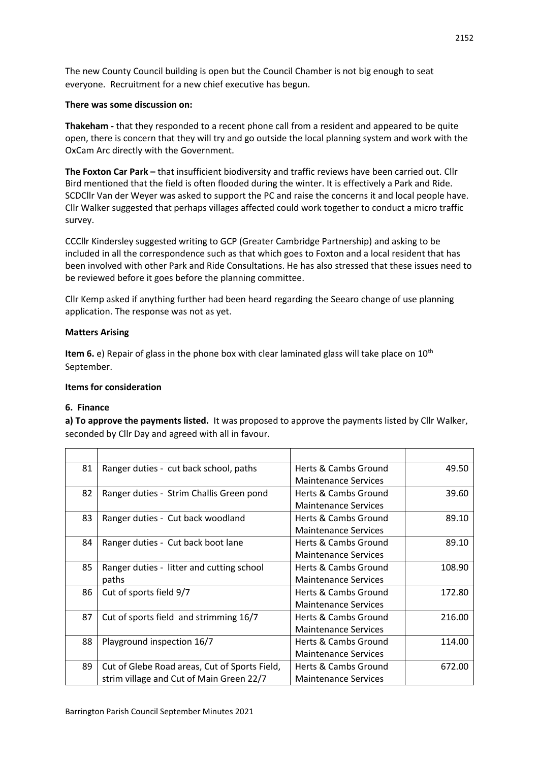The new County Council building is open but the Council Chamber is not big enough to seat everyone. Recruitment for a new chief executive has begun.

### **There was some discussion on:**

**Thakeham -** that they responded to a recent phone call from a resident and appeared to be quite open, there is concern that they will try and go outside the local planning system and work with the OxCam Arc directly with the Government.

**The Foxton Car Park –** that insufficient biodiversity and traffic reviews have been carried out. Cllr Bird mentioned that the field is often flooded during the winter. It is effectively a Park and Ride. SCDCllr Van der Weyer was asked to support the PC and raise the concerns it and local people have. Cllr Walker suggested that perhaps villages affected could work together to conduct a micro traffic survey.

CCCllr Kindersley suggested writing to GCP (Greater Cambridge Partnership) and asking to be included in all the correspondence such as that which goes to Foxton and a local resident that has been involved with other Park and Ride Consultations. He has also stressed that these issues need to be reviewed before it goes before the planning committee.

Cllr Kemp asked if anything further had been heard regarding the Seearo change of use planning application. The response was not as yet.

#### **Matters Arising**

Item 6. e) Repair of glass in the phone box with clear laminated glass will take place on 10<sup>th</sup> September.

#### **Items for consideration**

#### **6. Finance**

**a) To approve the payments listed.** It was proposed to approve the payments listed by Cllr Walker, seconded by Cllr Day and agreed with all in favour.

| 81 | Ranger duties - cut back school, paths        | Herts & Cambs Ground        | 49.50  |
|----|-----------------------------------------------|-----------------------------|--------|
|    |                                               | <b>Maintenance Services</b> |        |
| 82 | Ranger duties - Strim Challis Green pond      | Herts & Cambs Ground        | 39.60  |
|    |                                               | <b>Maintenance Services</b> |        |
| 83 | Ranger duties - Cut back woodland             | Herts & Cambs Ground        | 89.10  |
|    |                                               | <b>Maintenance Services</b> |        |
| 84 | Ranger duties - Cut back boot lane            | Herts & Cambs Ground        | 89.10  |
|    |                                               | <b>Maintenance Services</b> |        |
| 85 | Ranger duties - litter and cutting school     | Herts & Cambs Ground        | 108.90 |
|    | paths                                         | <b>Maintenance Services</b> |        |
| 86 | Cut of sports field 9/7                       | Herts & Cambs Ground        | 172.80 |
|    |                                               | <b>Maintenance Services</b> |        |
| 87 | Cut of sports field and strimming 16/7        | Herts & Cambs Ground        | 216.00 |
|    |                                               | <b>Maintenance Services</b> |        |
| 88 | Playground inspection 16/7                    | Herts & Cambs Ground        | 114.00 |
|    |                                               | <b>Maintenance Services</b> |        |
| 89 | Cut of Glebe Road areas, Cut of Sports Field, | Herts & Cambs Ground        | 672.00 |
|    | strim village and Cut of Main Green 22/7      | <b>Maintenance Services</b> |        |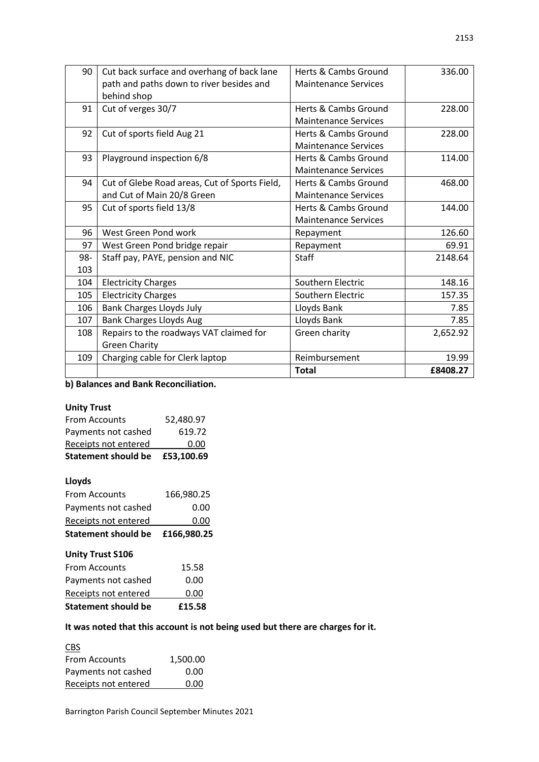| 90  | Cut back surface and overhang of back lane    | Herts & Cambs Ground            | 336.00   |
|-----|-----------------------------------------------|---------------------------------|----------|
|     | path and paths down to river besides and      | <b>Maintenance Services</b>     |          |
|     | behind shop                                   |                                 |          |
| 91  | Cut of verges 30/7                            | <b>Herts &amp; Cambs Ground</b> | 228.00   |
|     |                                               | <b>Maintenance Services</b>     |          |
| 92  | Cut of sports field Aug 21                    | Herts & Cambs Ground            | 228.00   |
|     |                                               | <b>Maintenance Services</b>     |          |
| 93  | Playground inspection 6/8                     | Herts & Cambs Ground            | 114.00   |
|     |                                               | <b>Maintenance Services</b>     |          |
| 94  | Cut of Glebe Road areas, Cut of Sports Field, | Herts & Cambs Ground            | 468.00   |
|     | and Cut of Main 20/8 Green                    | <b>Maintenance Services</b>     |          |
| 95  | Cut of sports field 13/8                      | <b>Herts &amp; Cambs Ground</b> | 144.00   |
|     |                                               | <b>Maintenance Services</b>     |          |
| 96  | West Green Pond work                          | Repayment                       | 126.60   |
| 97  | West Green Pond bridge repair                 | Repayment                       | 69.91    |
| 98- | Staff pay, PAYE, pension and NIC              | Staff                           | 2148.64  |
| 103 |                                               |                                 |          |
| 104 | <b>Electricity Charges</b>                    | Southern Electric               | 148.16   |
| 105 | <b>Electricity Charges</b>                    | Southern Electric               | 157.35   |
| 106 | <b>Bank Charges Lloyds July</b>               | Lloyds Bank                     | 7.85     |
| 107 | <b>Bank Charges Lloyds Aug</b>                | Lloyds Bank                     | 7.85     |
| 108 | Repairs to the roadways VAT claimed for       | Green charity                   | 2,652.92 |
|     | <b>Green Charity</b>                          |                                 |          |
| 109 | Charging cable for Clerk laptop               | Reimbursement                   | 19.99    |
|     |                                               | <b>Total</b>                    | £8408.27 |

# **b) Balances and Bank Reconciliation.**

#### **Unity Trust**

| <b>Statement should be</b> | £53,100.69 |
|----------------------------|------------|
| Receipts not entered       | 0.00       |
| Payments not cashed        | 619.72     |
| From Accounts              | 52,480.97  |

# **Lloyds**

| <b>Unity Trust S106</b> |             |  |
|-------------------------|-------------|--|
| Statement should be     | £166.980.25 |  |
| Receipts not entered    | 0.00        |  |
| Payments not cashed     | 0.00        |  |
| From Accounts           | 166,980.25  |  |

| <b>Statement should be</b> | £15.58 |
|----------------------------|--------|
| Receipts not entered       | 0.00   |
| Payments not cashed        | 0.00   |
| <b>From Accounts</b>       | 15.58  |
|                            |        |

# **It was noted that this account is not being used but there are charges for it.**

CBS From Accounts 1,500.00 Payments not cashed 0.00 Receipts not entered 0.00

Barrington Parish Council September Minutes 2021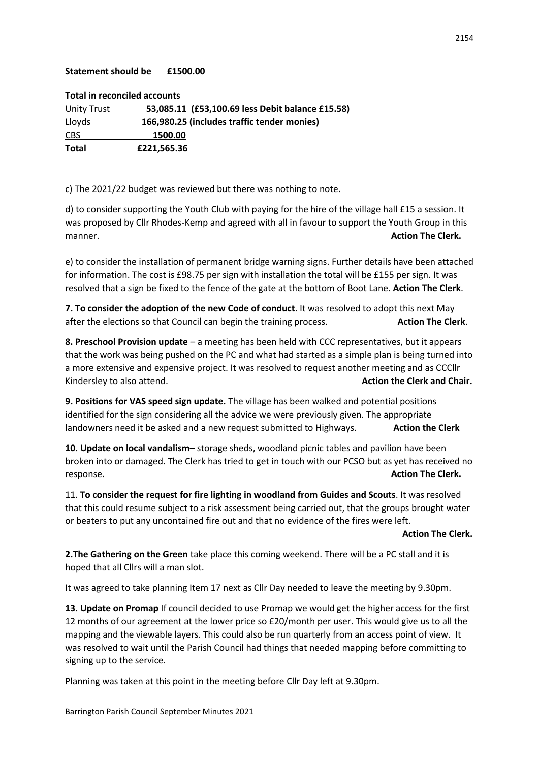#### **Statement should be £1500.00**

**Total in reconciled accounts**

| Unity Trust  | 53,085.11 (£53,100.69 less Debit balance £15.58) |  |
|--------------|--------------------------------------------------|--|
| Lloyds       | 166,980.25 (includes traffic tender monies)      |  |
| <b>CBS</b>   | 1500.00                                          |  |
| <b>Total</b> | £221.565.36                                      |  |

c) The 2021/22 budget was reviewed but there was nothing to note.

d) to consider supporting the Youth Club with paying for the hire of the village hall £15 a session. It was proposed by Cllr Rhodes-Kemp and agreed with all in favour to support the Youth Group in this manner. **Action The Clerk.**

e) to consider the installation of permanent bridge warning signs. Further details have been attached for information. The cost is £98.75 per sign with installation the total will be £155 per sign. It was resolved that a sign be fixed to the fence of the gate at the bottom of Boot Lane. **Action The Clerk**.

**7. To consider the adoption of the new Code of conduct**. It was resolved to adopt this next May after the elections so that Council can begin the training process. **Action The Clerk**.

**8. Preschool Provision update** – a meeting has been held with CCC representatives, but it appears that the work was being pushed on the PC and what had started as a simple plan is being turned into a more extensive and expensive project. It was resolved to request another meeting and as CCCllr Kindersley to also attend. **Action the Clerk and Chair. Action the Clerk and Chair.** 

**9. Positions for VAS speed sign update.** The village has been walked and potential positions identified for the sign considering all the advice we were previously given. The appropriate landowners need it be asked and a new request submitted to Highways. **Action the Clerk**

**10. Update on local vandalism**– storage sheds, woodland picnic tables and pavilion have been broken into or damaged. The Clerk has tried to get in touch with our PCSO but as yet has received no response. **Action The Clerk.**

11. **To consider the request for fire lighting in woodland from Guides and Scouts**. It was resolved that this could resume subject to a risk assessment being carried out, that the groups brought water or beaters to put any uncontained fire out and that no evidence of the fires were left.

#### **Action The Clerk.**

**2.The Gathering on the Green** take place this coming weekend. There will be a PC stall and it is hoped that all Cllrs will a man slot.

It was agreed to take planning Item 17 next as Cllr Day needed to leave the meeting by 9.30pm.

**13. Update on Promap** If council decided to use Promap we would get the higher access for the first 12 months of our agreement at the lower price so £20/month per user. This would give us to all the mapping and the viewable layers. This could also be run quarterly from an access point of view. It was resolved to wait until the Parish Council had things that needed mapping before committing to signing up to the service.

Planning was taken at this point in the meeting before Cllr Day left at 9.30pm.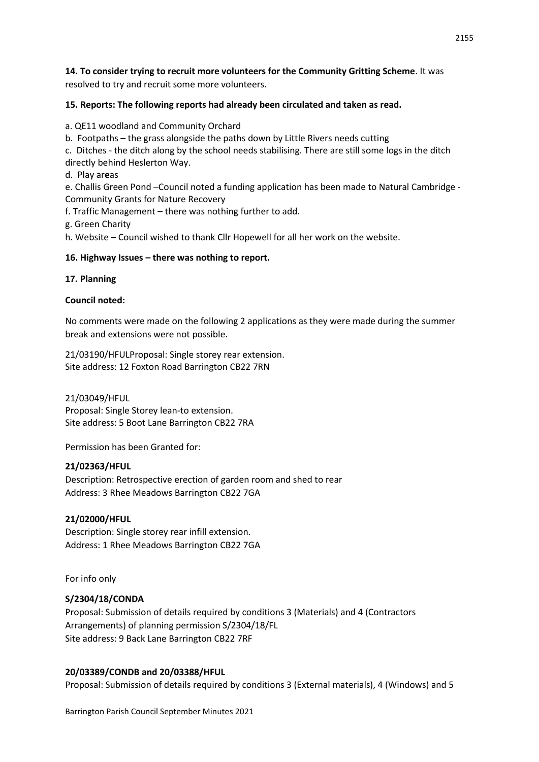**14. To consider trying to recruit more volunteers for the Community Gritting Scheme**. It was resolved to try and recruit some more volunteers.

### **15. Reports: The following reports had already been circulated and taken as read.**

a. QE11 woodland and Community Orchard

b. Footpaths – the grass alongside the paths down by Little Rivers needs cutting

c. Ditches - the ditch along by the school needs stabilising. There are still some logs in the ditch directly behind Heslerton Way.

d. Play ar**e**as

e. Challis Green Pond –Council noted a funding application has been made to Natural Cambridge - Community Grants for Nature Recovery

f. Traffic Management – there was nothing further to add.

g. Green Charity

h. Website – Council wished to thank Cllr Hopewell for all her work on the website.

#### **16. Highway Issues – there was nothing to report.**

#### **17. Planning**

#### **Council noted:**

No comments were made on the following 2 applications as they were made during the summer break and extensions were not possible.

21/03190/HFULProposal: Single storey rear extension. Site address: 12 Foxton Road Barrington CB22 7RN

21/03049/HFUL Proposal: Single Storey lean-to extension. Site address: 5 Boot Lane Barrington CB22 7RA

Permission has been Granted for:

#### **21/02363/HFUL**

Description: Retrospective erection of garden room and shed to rear Address: 3 Rhee Meadows Barrington CB22 7GA

### **21/02000/HFUL**

Description: Single storey rear infill extension. Address: 1 Rhee Meadows Barrington CB22 7GA

For info only

#### **S/2304/18/CONDA**

Proposal: Submission of details required by conditions 3 (Materials) and 4 (Contractors Arrangements) of planning permission S/2304/18/FL Site address: 9 Back Lane Barrington CB22 7RF

### **20/03389/CONDB and 20/03388/HFUL**

Proposal: Submission of details required by conditions 3 (External materials), 4 (Windows) and 5

Barrington Parish Council September Minutes 2021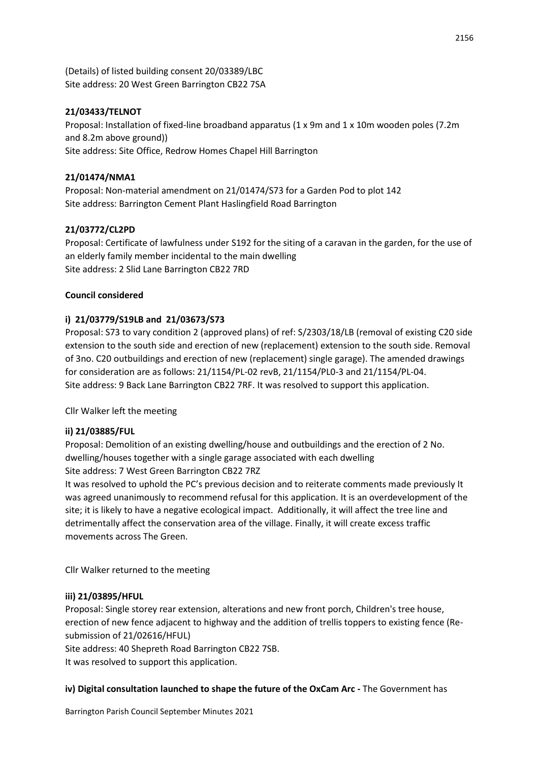(Details) of listed building consent 20/03389/LBC Site address: 20 West Green Barrington CB22 7SA

# **21/03433/TELNOT**

Proposal: Installation of fixed-line broadband apparatus (1 x 9m and 1 x 10m wooden poles (7.2m and 8.2m above ground)) Site address: Site Office, Redrow Homes Chapel Hill Barrington

### **21/01474/NMA1**

Proposal: Non-material amendment on 21/01474/S73 for a Garden Pod to plot 142 Site address: Barrington Cement Plant Haslingfield Road Barrington

# **21/03772/CL2PD**

Proposal: Certificate of lawfulness under S192 for the siting of a caravan in the garden, for the use of an elderly family member incidental to the main dwelling Site address: 2 Slid Lane Barrington CB22 7RD

# **Council considered**

# **i) 21/03779/S19LB and 21/03673/S73**

Proposal: S73 to vary condition 2 (approved plans) of ref: S/2303/18/LB (removal of existing C20 side extension to the south side and erection of new (replacement) extension to the south side. Removal of 3no. C20 outbuildings and erection of new (replacement) single garage). The amended drawings for consideration are as follows: 21/1154/PL-02 revB, 21/1154/PL0-3 and 21/1154/PL-04. Site address: 9 Back Lane Barrington CB22 7RF. It was resolved to support this application.

Cllr Walker left the meeting

# **ii) 21/03885/FUL**

Proposal: Demolition of an existing dwelling/house and outbuildings and the erection of 2 No. dwelling/houses together with a single garage associated with each dwelling Site address: 7 West Green Barrington CB22 7RZ

It was resolved to uphold the PC's previous decision and to reiterate comments made previously It was agreed unanimously to recommend refusal for this application. It is an overdevelopment of the site; it is likely to have a negative ecological impact. Additionally, it will affect the tree line and detrimentally affect the conservation area of the village. Finally, it will create excess traffic movements across The Green.

Cllr Walker returned to the meeting

### **iii) 21/03895/HFUL**

Proposal: Single storey rear extension, alterations and new front porch, Children's tree house, erection of new fence adjacent to highway and the addition of trellis toppers to existing fence (Resubmission of 21/02616/HFUL)

Site address: 40 Shepreth Road Barrington CB22 7SB.

It was resolved to support this application.

### **iv) Digital consultation launched to shape the future of the OxCam Arc -** The Government has